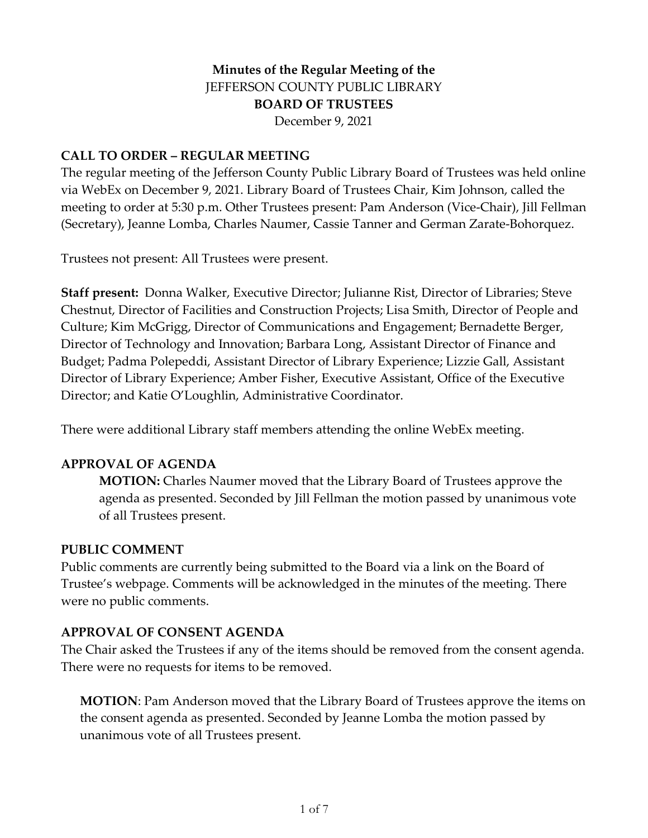## **Minutes of the Regular Meeting of the** JEFFERSON COUNTY PUBLIC LIBRARY **BOARD OF TRUSTEES** December 9, 2021

#### **CALL TO ORDER – REGULAR MEETING**

The regular meeting of the Jefferson County Public Library Board of Trustees was held online via WebEx on December 9, 2021. Library Board of Trustees Chair, Kim Johnson, called the meeting to order at 5:30 p.m. Other Trustees present: Pam Anderson (Vice-Chair), Jill Fellman (Secretary), Jeanne Lomba, Charles Naumer, Cassie Tanner and German Zarate-Bohorquez.

Trustees not present: All Trustees were present.

**Staff present:** Donna Walker, Executive Director; Julianne Rist, Director of Libraries; Steve Chestnut, Director of Facilities and Construction Projects; Lisa Smith, Director of People and Culture; Kim McGrigg, Director of Communications and Engagement; Bernadette Berger, Director of Technology and Innovation; Barbara Long, Assistant Director of Finance and Budget; Padma Polepeddi, Assistant Director of Library Experience; Lizzie Gall, Assistant Director of Library Experience; Amber Fisher, Executive Assistant, Office of the Executive Director; and Katie O'Loughlin, Administrative Coordinator.

There were additional Library staff members attending the online WebEx meeting.

#### **APPROVAL OF AGENDA**

**MOTION:** Charles Naumer moved that the Library Board of Trustees approve the agenda as presented. Seconded by Jill Fellman the motion passed by unanimous vote of all Trustees present.

#### **PUBLIC COMMENT**

Public comments are currently being submitted to the Board via a link on the Board of Trustee's webpage. Comments will be acknowledged in the minutes of the meeting. There were no public comments.

#### **APPROVAL OF CONSENT AGENDA**

The Chair asked the Trustees if any of the items should be removed from the consent agenda. There were no requests for items to be removed.

**MOTION**: Pam Anderson moved that the Library Board of Trustees approve the items on the consent agenda as presented. Seconded by Jeanne Lomba the motion passed by unanimous vote of all Trustees present.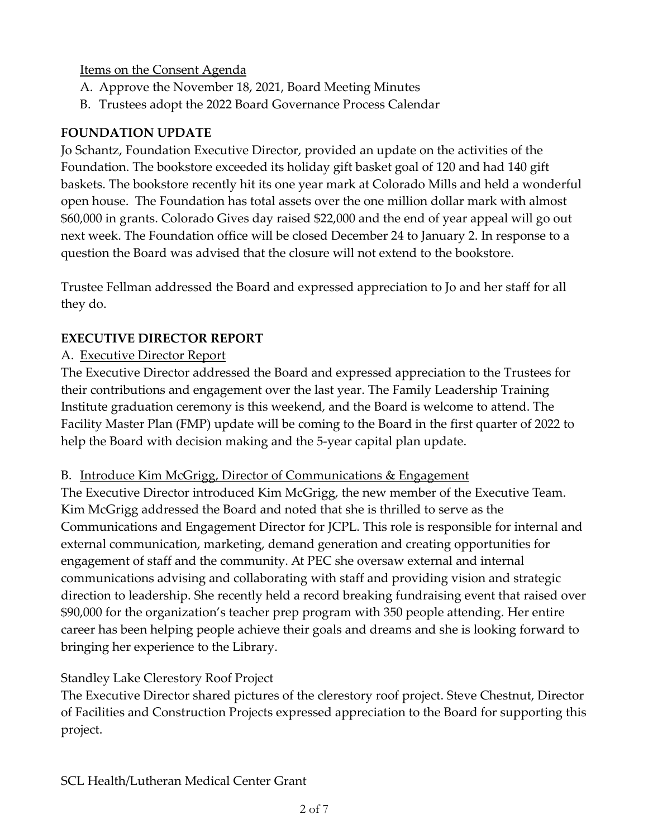## Items on the Consent Agenda

- A. Approve the November 18, 2021, Board Meeting Minutes
- B. Trustees adopt the 2022 Board Governance Process Calendar

# **FOUNDATION UPDATE**

Jo Schantz, Foundation Executive Director, provided an update on the activities of the Foundation. The bookstore exceeded its holiday gift basket goal of 120 and had 140 gift baskets. The bookstore recently hit its one year mark at Colorado Mills and held a wonderful open house. The Foundation has total assets over the one million dollar mark with almost \$60,000 in grants. Colorado Gives day raised \$22,000 and the end of year appeal will go out next week. The Foundation office will be closed December 24 to January 2. In response to a question the Board was advised that the closure will not extend to the bookstore.

Trustee Fellman addressed the Board and expressed appreciation to Jo and her staff for all they do.

# **EXECUTIVE DIRECTOR REPORT**

# A. Executive Director Report

The Executive Director addressed the Board and expressed appreciation to the Trustees for their contributions and engagement over the last year. The Family Leadership Training Institute graduation ceremony is this weekend, and the Board is welcome to attend. The Facility Master Plan (FMP) update will be coming to the Board in the first quarter of 2022 to help the Board with decision making and the 5-year capital plan update.

## B. Introduce Kim McGrigg, Director of Communications & Engagement

The Executive Director introduced Kim McGrigg, the new member of the Executive Team. Kim McGrigg addressed the Board and noted that she is thrilled to serve as the Communications and Engagement Director for JCPL. This role is responsible for internal and external communication, marketing, demand generation and creating opportunities for engagement of staff and the community. At PEC she oversaw external and internal communications advising and collaborating with staff and providing vision and strategic direction to leadership. She recently held a record breaking fundraising event that raised over \$90,000 for the organization's teacher prep program with 350 people attending. Her entire career has been helping people achieve their goals and dreams and she is looking forward to bringing her experience to the Library.

# Standley Lake Clerestory Roof Project

The Executive Director shared pictures of the clerestory roof project. Steve Chestnut, Director of Facilities and Construction Projects expressed appreciation to the Board for supporting this project.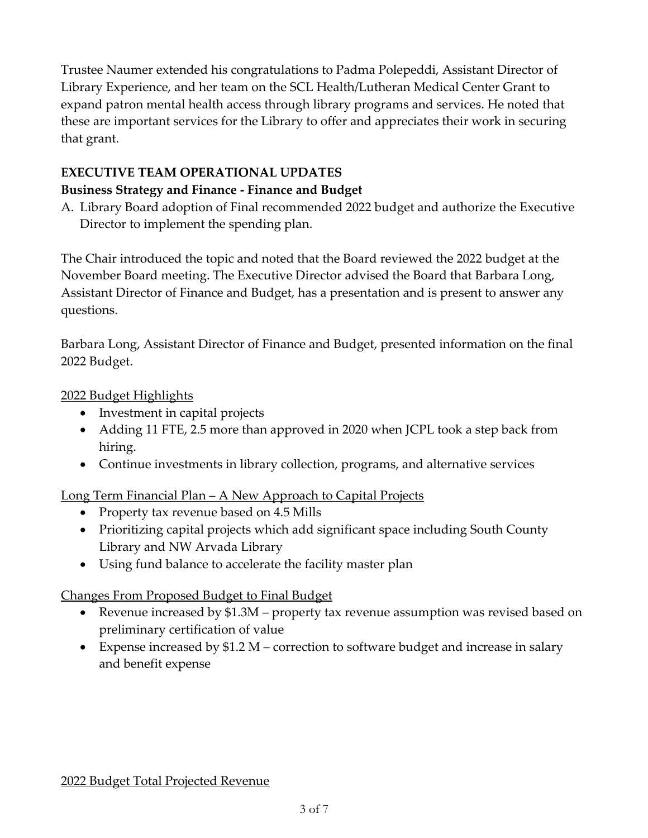Trustee Naumer extended his congratulations to Padma Polepeddi, Assistant Director of Library Experience, and her team on the SCL Health/Lutheran Medical Center Grant to expand patron mental health access through library programs and services. He noted that these are important services for the Library to offer and appreciates their work in securing that grant.

## **EXECUTIVE TEAM OPERATIONAL UPDATES**

## **Business Strategy and Finance - Finance and Budget**

A. Library Board adoption of Final recommended 2022 budget and authorize the Executive Director to implement the spending plan.

The Chair introduced the topic and noted that the Board reviewed the 2022 budget at the November Board meeting. The Executive Director advised the Board that Barbara Long, Assistant Director of Finance and Budget, has a presentation and is present to answer any questions.

Barbara Long, Assistant Director of Finance and Budget, presented information on the final 2022 Budget.

2022 Budget Highlights

- Investment in capital projects
- Adding 11 FTE, 2.5 more than approved in 2020 when JCPL took a step back from hiring.
- Continue investments in library collection, programs, and alternative services

## Long Term Financial Plan – A New Approach to Capital Projects

- Property tax revenue based on 4.5 Mills
- Prioritizing capital projects which add significant space including South County Library and NW Arvada Library
- Using fund balance to accelerate the facility master plan

## Changes From Proposed Budget to Final Budget

- Revenue increased by \$1.3M property tax revenue assumption was revised based on preliminary certification of value
- Expense increased by \$1.2 M correction to software budget and increase in salary and benefit expense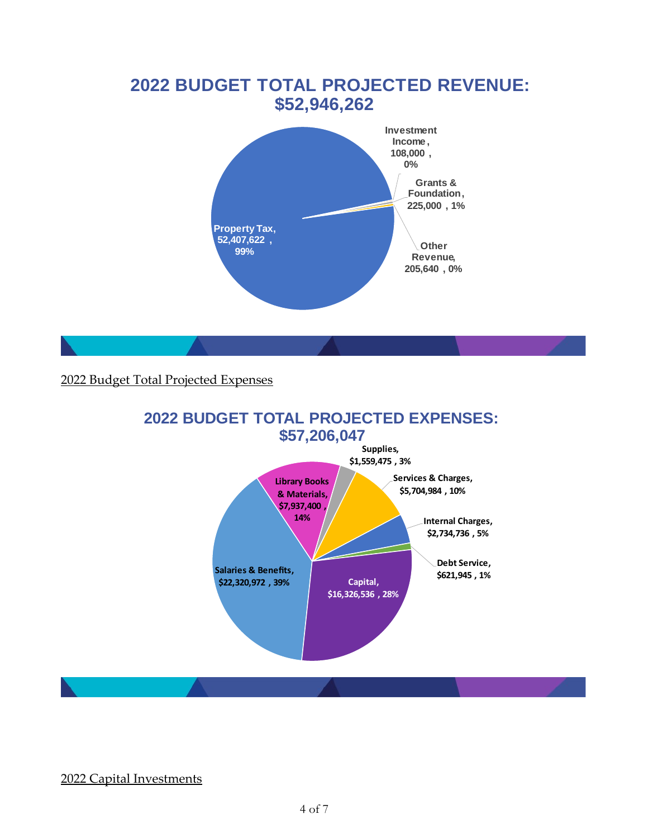# **2022 BUDGET TOTAL PROJECTED REVENUE: \$52,946,262 Property Tax, 52,407,622 , 99% Investment Income , 108,000 , 0% Grants & Foundation, 225,000 , 1% Other Revenue, 205,640 , 0%**

## 2022 Budget Total Projected Expenses



## 2022 Capital Investments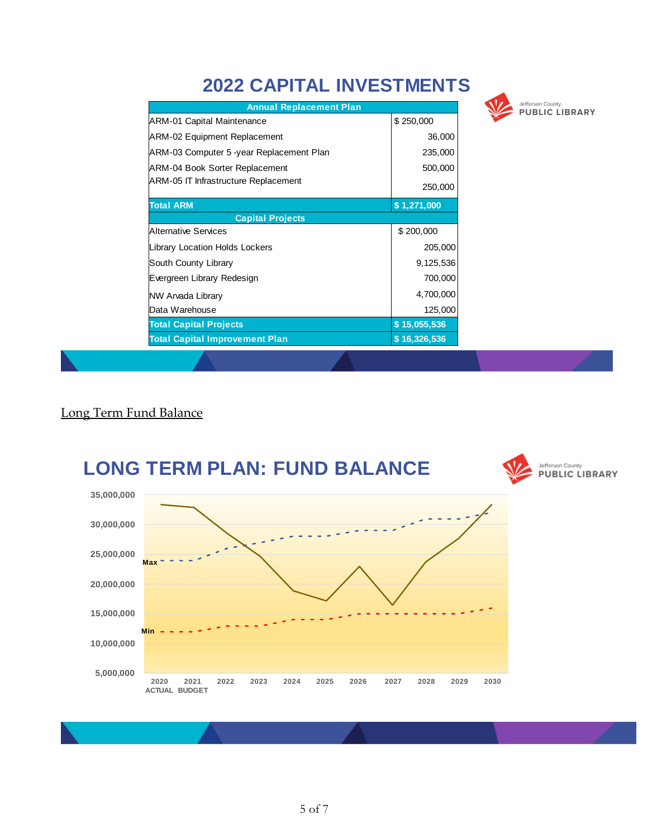# **2022 CAPITAL INVESTMENTS**

| <b>Annual Replacement Plan</b>            |              |
|-------------------------------------------|--------------|
| <b>ARM-01 Capital Maintenance</b>         | \$250,000    |
| ARM-02 Equipment Replacement              | 36,000       |
| JARM-03 Computer 5 -year Replacement Plan | 235,000      |
| <b>ARM-04 Book Sorter Replacement</b>     | 500,000      |
| ARM-05 IT Infrastructure Replacement      | 250,000      |
| <b>Total ARM</b>                          | \$1,271,000  |
| <b>Capital Projects</b>                   |              |
| Alternative Services                      | \$200,000    |
| Library Location Holds Lockers            | 205,000      |
| South County Library                      | 9,125,536    |
| Evergreen Library Redesign                | 700,000      |
| NW Arvada Library                         | 4,700,000    |
| Data Warehouse                            | 125,000      |
| <b>Total Capital Projects</b>             | \$15,055,536 |
| <b>Total Capital Improvement Plan</b>     | \$16,326,536 |



#### Long Term Fund Balance

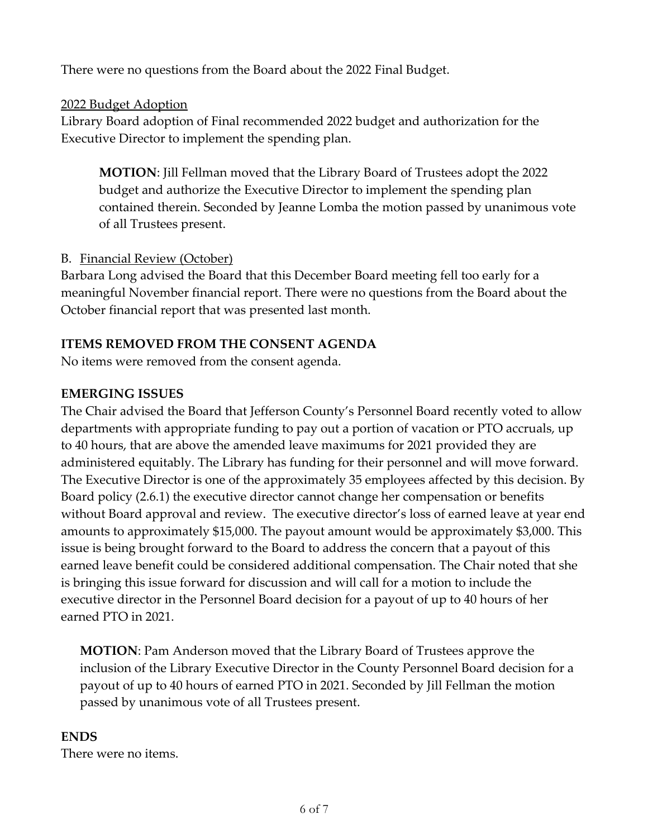There were no questions from the Board about the 2022 Final Budget.

## 2022 Budget Adoption

Library Board adoption of Final recommended 2022 budget and authorization for the Executive Director to implement the spending plan.

**MOTION**: Jill Fellman moved that the Library Board of Trustees adopt the 2022 budget and authorize the Executive Director to implement the spending plan contained therein. Seconded by Jeanne Lomba the motion passed by unanimous vote of all Trustees present.

## B. Financial Review (October)

Barbara Long advised the Board that this December Board meeting fell too early for a meaningful November financial report. There were no questions from the Board about the October financial report that was presented last month.

## **ITEMS REMOVED FROM THE CONSENT AGENDA**

No items were removed from the consent agenda.

## **EMERGING ISSUES**

The Chair advised the Board that Jefferson County's Personnel Board recently voted to allow departments with appropriate funding to pay out a portion of vacation or PTO accruals, up to 40 hours, that are above the amended leave maximums for 2021 provided they are administered equitably. The Library has funding for their personnel and will move forward. The Executive Director is one of the approximately 35 employees affected by this decision. By Board policy (2.6.1) the executive director cannot change her compensation or benefits without Board approval and review. The executive director's loss of earned leave at year end amounts to approximately \$15,000. The payout amount would be approximately \$3,000. This issue is being brought forward to the Board to address the concern that a payout of this earned leave benefit could be considered additional compensation. The Chair noted that she is bringing this issue forward for discussion and will call for a motion to include the executive director in the Personnel Board decision for a payout of up to 40 hours of her earned PTO in 2021.

**MOTION**: Pam Anderson moved that the Library Board of Trustees approve the inclusion of the Library Executive Director in the County Personnel Board decision for a payout of up to 40 hours of earned PTO in 2021. Seconded by Jill Fellman the motion passed by unanimous vote of all Trustees present.

## **ENDS**

There were no items.